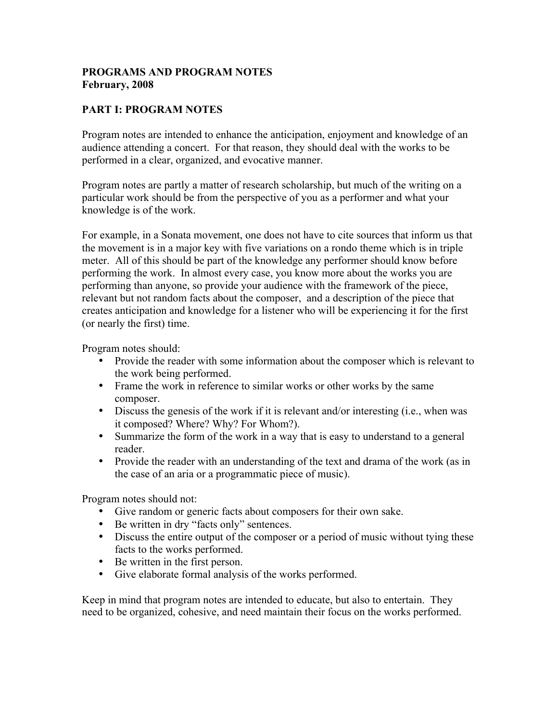## **PROGRAMS AND PROGRAM NOTES February, 2008**

## **PART I: PROGRAM NOTES**

Program notes are intended to enhance the anticipation, enjoyment and knowledge of an audience attending a concert. For that reason, they should deal with the works to be performed in a clear, organized, and evocative manner.

Program notes are partly a matter of research scholarship, but much of the writing on a particular work should be from the perspective of you as a performer and what your knowledge is of the work.

For example, in a Sonata movement, one does not have to cite sources that inform us that the movement is in a major key with five variations on a rondo theme which is in triple meter. All of this should be part of the knowledge any performer should know before performing the work. In almost every case, you know more about the works you are performing than anyone, so provide your audience with the framework of the piece, relevant but not random facts about the composer, and a description of the piece that creates anticipation and knowledge for a listener who will be experiencing it for the first (or nearly the first) time.

Program notes should:

- Provide the reader with some information about the composer which is relevant to the work being performed.
- Frame the work in reference to similar works or other works by the same composer.
- Discuss the genesis of the work if it is relevant and/or interesting (i.e., when was it composed? Where? Why? For Whom?).
- Summarize the form of the work in a way that is easy to understand to a general reader.
- Provide the reader with an understanding of the text and drama of the work (as in the case of an aria or a programmatic piece of music).

Program notes should not:

- Give random or generic facts about composers for their own sake.
- Be written in dry "facts only" sentences.
- Discuss the entire output of the composer or a period of music without tying these facts to the works performed.
- Be written in the first person.
- Give elaborate formal analysis of the works performed.

Keep in mind that program notes are intended to educate, but also to entertain. They need to be organized, cohesive, and need maintain their focus on the works performed.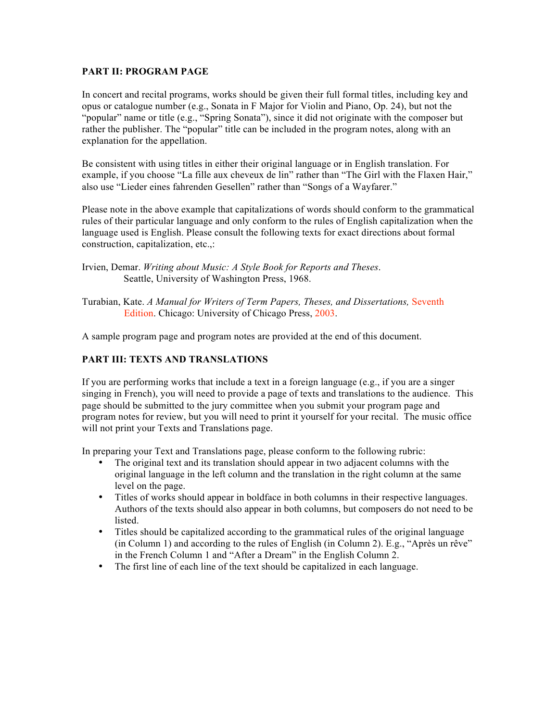#### **PART II: PROGRAM PAGE**

In concert and recital programs, works should be given their full formal titles, including key and opus or catalogue number (e.g., Sonata in F Major for Violin and Piano, Op. 24), but not the "popular" name or title (e.g., "Spring Sonata"), since it did not originate with the composer but rather the publisher. The "popular" title can be included in the program notes, along with an explanation for the appellation.

Be consistent with using titles in either their original language or in English translation. For example, if you choose "La fille aux cheveux de lin" rather than "The Girl with the Flaxen Hair," also use "Lieder eines fahrenden Gesellen" rather than "Songs of a Wayfarer."

Please note in the above example that capitalizations of words should conform to the grammatical rules of their particular language and only conform to the rules of English capitalization when the language used is English. Please consult the following texts for exact directions about formal construction, capitalization, etc.,:

Turabian, Kate. *A Manual for Writers of Term Papers, Theses, and Dissertations,* Seventh Edition. Chicago: University of Chicago Press, 2003.

A sample program page and program notes are provided at the end of this document.

### **PART III: TEXTS AND TRANSLATIONS**

If you are performing works that include a text in a foreign language (e.g., if you are a singer singing in French), you will need to provide a page of texts and translations to the audience. This page should be submitted to the jury committee when you submit your program page and program notes for review, but you will need to print it yourself for your recital. The music office will not print your Texts and Translations page.

In preparing your Text and Translations page, please conform to the following rubric:

- The original text and its translation should appear in two adjacent columns with the original language in the left column and the translation in the right column at the same level on the page.
- Titles of works should appear in boldface in both columns in their respective languages. Authors of the texts should also appear in both columns, but composers do not need to be listed.
- Titles should be capitalized according to the grammatical rules of the original language (in Column 1) and according to the rules of English (in Column 2). E.g., "Après un rêve" in the French Column 1 and "After a Dream" in the English Column 2.
- The first line of each line of the text should be capitalized in each language.

Irvien, Demar. *Writing about Music: A Style Book for Reports and Theses*. Seattle, University of Washington Press, 1968.